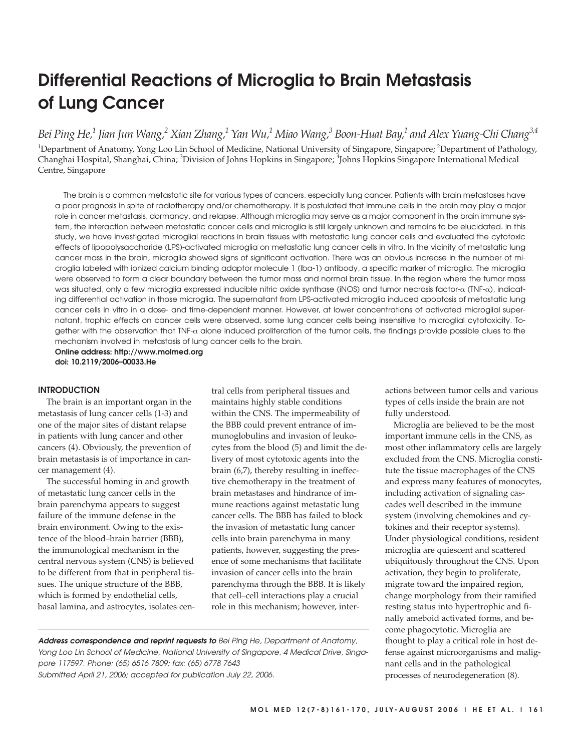# **Differential Reactions of Microglia to Brain Metastasis of Lung Cancer**

*Bei Ping He,1 Jian Jun Wang,2 Xian Zhang,1 Yan Wu,1 Miao Wang,3 Boon-Huat Bay,1 and Alex Yuang-Chi Chang3,4*

<sup>1</sup>Department of Anatomy, Yong Loo Lin School of Medicine, National University of Singapore, Singapore; <sup>2</sup>Department of Pathology, Changhai Hospital, Shanghai, China; <sup>3</sup>Division of Johns Hopkins in Singapore; <sup>4</sup>Johns Hopkins Singapore International Medical Centre, Singapore

The brain is a common metastatic site for various types of cancers, especially lung cancer. Patients with brain metastases have a poor prognosis in spite of radiotherapy and/or chemotherapy. It is postulated that immune cells in the brain may play a major role in cancer metastasis, dormancy, and relapse. Although microglia may serve as a major component in the brain immune system, the interaction between metastatic cancer cells and microglia is still largely unknown and remains to be elucidated. In this study, we have investigated microglial reactions in brain tissues with metastatic lung cancer cells and evaluated the cytotoxic effects of lipopolysaccharide (LPS)-activated microglia on metastatic lung cancer cells in vitro. In the vicinity of metastatic lung cancer mass in the brain, microglia showed signs of significant activation. There was an obvious increase in the number of microglia labeled with ionized calcium binding adaptor molecule 1 (Iba-1) antibody, a specific marker of microglia. The microglia were observed to form a clear boundary between the tumor mass and normal brain tissue. In the region where the tumor mass was situated, only a few microglia expressed inducible nitric oxide synthase (iNOS) and tumor necrosis factor-α (TNF-α), indicating differential activation in those microglia. The supernatant from LPS-activated microglia induced apoptosis of metastatic lung cancer cells in vitro in a dose- and time-dependent manner. However, at lower concentrations of activated microglial supernatant, trophic effects on cancer cells were observed, some lung cancer cells being insensitive to microglial cytotoxicity. Together with the observation that TNF- $\alpha$  alone induced proliferation of the tumor cells, the findings provide possible clues to the mechanism involved in metastasis of lung cancer cells to the brain.

**Online address: http://www.molmed.org doi: 10.2119/2006–00033.He**

## **INTRODUCTION**

The brain is an important organ in the metastasis of lung cancer cells (1-3) and one of the major sites of distant relapse in patients with lung cancer and other cancers (4). Obviously, the prevention of brain metastasis is of importance in cancer management (4).

The successful homing in and growth of metastatic lung cancer cells in the brain parenchyma appears to suggest failure of the immune defense in the brain environment. Owing to the existence of the blood–brain barrier (BBB), the immunological mechanism in the central nervous system (CNS) is believed to be different from that in peripheral tissues. The unique structure of the BBB, which is formed by endothelial cells, basal lamina, and astrocytes, isolates central cells from peripheral tissues and maintains highly stable conditions within the CNS. The impermeability of the BBB could prevent entrance of immunoglobulins and invasion of leukocytes from the blood (5) and limit the delivery of most cytotoxic agents into the brain (6,7), thereby resulting in ineffective chemotherapy in the treatment of brain metastases and hindrance of immune reactions against metastatic lung cancer cells. The BBB has failed to block the invasion of metastatic lung cancer cells into brain parenchyma in many patients, however, suggesting the presence of some mechanisms that facilitate invasion of cancer cells into the brain parenchyma through the BBB. It is likely that cell–cell interactions play a crucial role in this mechanism; however, interactions between tumor cells and various types of cells inside the brain are not fully understood.

Microglia are believed to be the most important immune cells in the CNS, as most other inflammatory cells are largely excluded from the CNS. Microglia constitute the tissue macrophages of the CNS and express many features of monocytes, including activation of signaling cascades well described in the immune system (involving chemokines and cytokines and their receptor systems). Under physiological conditions, resident microglia are quiescent and scattered ubiquitously throughout the CNS. Upon activation, they begin to proliferate, migrate toward the impaired region, change morphology from their ramified resting status into hypertrophic and finally ameboid activated forms, and become phagocytotic. Microglia are thought to play a critical role in host defense against microorganisms and malignant cells and in the pathological processes of neurodegeneration (8).

**Address correspondence and reprint requests to** Bei Ping He, Department of Anatomy, Yong Loo Lin School of Medicine, National University of Singapore, 4 Medical Drive, Singapore 117597. Phone: (65) 6516 7809; fax: (65) 6778 7643 Submitted April 21, 2006; accepted for publication July 22, 2006.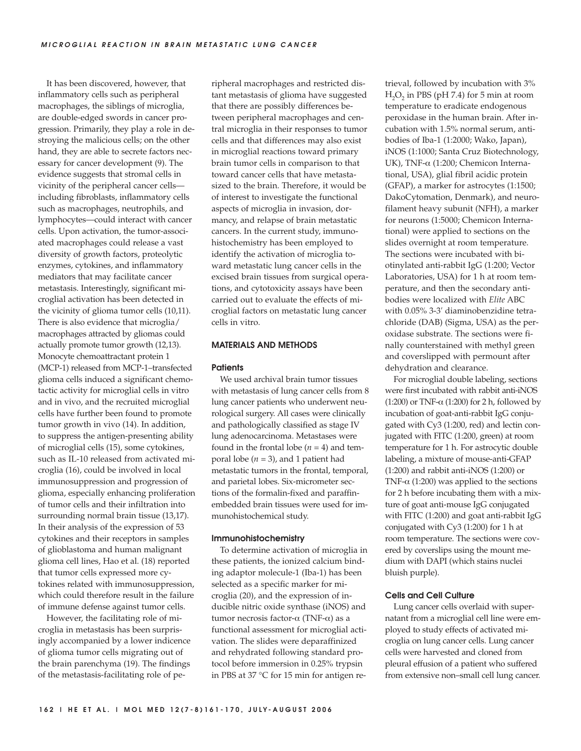It has been discovered, however, that inflammatory cells such as peripheral macrophages, the siblings of microglia, are double-edged swords in cancer progression. Primarily, they play a role in destroying the malicious cells; on the other hand, they are able to secrete factors necessary for cancer development (9). The evidence suggests that stromal cells in vicinity of the peripheral cancer cells including fibroblasts, inflammatory cells such as macrophages, neutrophils, and lymphocytes—could interact with cancer cells. Upon activation, the tumor-associated macrophages could release a vast diversity of growth factors, proteolytic enzymes, cytokines, and inflammatory mediators that may facilitate cancer metastasis. Interestingly, significant microglial activation has been detected in the vicinity of glioma tumor cells (10,11). There is also evidence that microglia/ macrophages attracted by gliomas could actually promote tumor growth (12,13). Monocyte chemoattractant protein 1 (MCP-1) released from MCP-1–transfected glioma cells induced a significant chemotactic activity for microglial cells in vitro and in vivo, and the recruited microglial cells have further been found to promote tumor growth in vivo (14). In addition, to suppress the antigen-presenting ability of microglial cells (15), some cytokines, such as IL-10 released from activated microglia (16), could be involved in local immunosuppression and progression of glioma, especially enhancing proliferation of tumor cells and their infiltration into surrounding normal brain tissue (13,17). In their analysis of the expression of 53 cytokines and their receptors in samples of glioblastoma and human malignant glioma cell lines, Hao et al. (18) reported that tumor cells expressed more cytokines related with immunosuppression, which could therefore result in the failure of immune defense against tumor cells.

However, the facilitating role of microglia in metastasis has been surprisingly accompanied by a lower indicence of glioma tumor cells migrating out of the brain parenchyma (19). The findings of the metastasis-facilitating role of peripheral macrophages and restricted distant metastasis of glioma have suggested that there are possibly differences between peripheral macrophages and central microglia in their responses to tumor cells and that differences may also exist in microglial reactions toward primary brain tumor cells in comparison to that toward cancer cells that have metastasized to the brain. Therefore, it would be of interest to investigate the functional aspects of microglia in invasion, dormancy, and relapse of brain metastatic cancers. In the current study, immunohistochemistry has been employed to identify the activation of microglia toward metastatic lung cancer cells in the excised brain tissues from surgical operations, and cytotoxicity assays have been carried out to evaluate the effects of microglial factors on metastatic lung cancer cells in vitro.

## **MATERIALS AND METHODS**

#### **Patients**

We used archival brain tumor tissues with metastasis of lung cancer cells from 8 lung cancer patients who underwent neurological surgery. All cases were clinically and pathologically classified as stage IV lung adenocarcinoma. Metastases were found in the frontal lobe  $(n = 4)$  and temporal lobe (*n* = 3), and 1 patient had metastatic tumors in the frontal, temporal, and parietal lobes. Six-micrometer sections of the formalin-fixed and paraffinembedded brain tissues were used for immunohistochemical study.

#### **Immunohistochemistry**

To determine activation of microglia in these patients, the ionized calcium binding adaptor molecule-1 (Iba-1) has been selected as a specific marker for microglia (20), and the expression of inducible nitric oxide synthase (iNOS) and tumor necrosis factor-α (TNF-α) as a functional assessment for microglial activation. The slides were deparaffinized and rehydrated following standard protocol before immersion in 0.25% trypsin in PBS at 37 °C for 15 min for antigen retrieval, followed by incubation with 3%  $H<sub>2</sub>O<sub>2</sub>$  in PBS (pH 7.4) for 5 min at room temperature to eradicate endogenous peroxidase in the human brain. After incubation with 1.5% normal serum, antibodies of Iba-1 (1:2000; Wako, Japan), iNOS (1:1000; Santa Cruz Biotechnology, UK), TNF-α (1:200; Chemicon International, USA), glial fibril acidic protein (GFAP), a marker for astrocytes (1:1500; DakoCytomation, Denmark), and neurofilament heavy subunit (NFH), a marker for neurons (1:5000; Chemicon International) were applied to sections on the slides overnight at room temperature. The sections were incubated with biotinylated anti-rabbit IgG (1:200; Vector Laboratories, USA) for 1 h at room temperature, and then the secondary antibodies were localized with *Elite* ABC with 0.05% 3-3′ diaminobenzidine tetrachloride (DAB) (Sigma, USA) as the peroxidase substrate. The sections were finally counterstained with methyl green and coverslipped with permount after dehydration and clearance.

For microglial double labeling, sections were first incubated with rabbit anti-iNOS (1:200) or TNF- $\alpha$  (1:200) for 2 h, followed by incubation of goat-anti-rabbit IgG conjugated with Cy3 (1:200, red) and lectin conjugated with FITC (1:200, green) at room temperature for 1 h. For astrocytic double labeling, a mixture of mouse-anti-GFAP (1:200) and rabbit anti-iNOS (1:200) or TNF- $\alpha$  (1:200) was applied to the sections for 2 h before incubating them with a mixture of goat anti-mouse IgG conjugated with FITC (1:200) and goat anti-rabbit IgG conjugated with Cy3 (1:200) for 1 h at room temperature. The sections were covered by coverslips using the mount medium with DAPI (which stains nuclei bluish purple).

## **Cells and Cell Culture**

Lung cancer cells overlaid with supernatant from a microglial cell line were employed to study effects of activated microglia on lung cancer cells. Lung cancer cells were harvested and cloned from pleural effusion of a patient who suffered from extensive non–small cell lung cancer.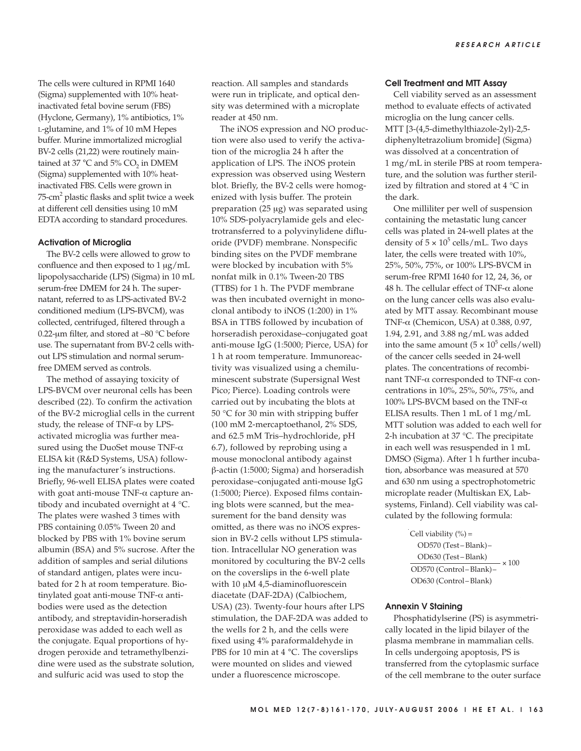The cells were cultured in RPMI 1640 (Sigma) supplemented with 10% heatinactivated fetal bovine serum (FBS) (Hyclone, Germany), 1% antibiotics, 1% L-glutamine, and 1% of 10 mM Hepes buffer. Murine immortalized microglial BV-2 cells (21,22) were routinely maintained at 37  $^{\circ}$ C and 5% CO<sub>2</sub> in DMEM (Sigma) supplemented with 10% heatinactivated FBS. Cells were grown in 75-cm2 plastic flasks and split twice a week at different cell densities using 10 mM EDTA according to standard procedures.

#### **Activation of Microglia**

The BV-2 cells were allowed to grow to confluence and then exposed to 1 μg/mL lipopolysaccharide (LPS) (Sigma) in 10 mL serum-free DMEM for 24 h. The supernatant, referred to as LPS-activated BV-2 conditioned medium (LPS-BVCM), was collected, centrifuged, filtered through a 0.22-μm filter, and stored at  $-80$  °C before use. The supernatant from BV-2 cells without LPS stimulation and normal serumfree DMEM served as controls.

The method of assaying toxicity of LPS-BVCM over neuronal cells has been described (22). To confirm the activation of the BV-2 microglial cells in the current study, the release of TNF- $\alpha$  by LPSactivated microglia was further measured using the DuoSet mouse TNF-α ELISA kit (R&D Systems, USA) following the manufacturer's instructions. Briefly, 96-well ELISA plates were coated with goat anti-mouse TNF-α capture antibody and incubated overnight at 4 °C. The plates were washed 3 times with PBS containing 0.05% Tween 20 and blocked by PBS with 1% bovine serum albumin (BSA) and 5% sucrose. After the addition of samples and serial dilutions of standard antigen, plates were incubated for 2 h at room temperature. Biotinylated goat anti-mouse TNF-α antibodies were used as the detection antibody, and streptavidin-horseradish peroxidase was added to each well as the conjugate. Equal proportions of hydrogen peroxide and tetramethylbenzidine were used as the substrate solution, and sulfuric acid was used to stop the

reaction. All samples and standards were run in triplicate, and optical density was determined with a microplate reader at 450 nm.

The iNOS expression and NO production were also used to verify the activation of the microglia 24 h after the application of LPS. The iNOS protein expression was observed using Western blot. Briefly, the BV-2 cells were homogenized with lysis buffer. The protein preparation (25 μg) was separated using 10% SDS-polyacrylamide gels and electrotransferred to a polyvinylidene difluoride (PVDF) membrane. Nonspecific binding sites on the PVDF membrane were blocked by incubation with 5% nonfat milk in 0.1% Tween-20 TBS (TTBS) for 1 h. The PVDF membrane was then incubated overnight in monoclonal antibody to iNOS (1:200) in 1% BSA in TTBS followed by incubation of horseradish peroxidase–conjugated goat anti-mouse IgG (1:5000; Pierce, USA) for 1 h at room temperature. Immunoreactivity was visualized using a chemiluminescent substrate (Supersignal West Pico; Pierce). Loading controls were carried out by incubating the blots at 50 °C for 30 min with stripping buffer (100 mM 2-mercaptoethanol, 2% SDS, and 62.5 mM Tris–hydrochloride, pH 6.7), followed by reprobing using a mouse monoclonal antibody against β-actin (1:5000; Sigma) and horseradish peroxidase–conjugated anti-mouse IgG (1:5000; Pierce). Exposed films containing blots were scanned, but the measurement for the band density was omitted, as there was no iNOS expression in BV-2 cells without LPS stimulation. Intracellular NO generation was monitored by coculturing the BV-2 cells on the coverslips in the 6-well plate with 10 μM 4,5-diaminofluorescein diacetate (DAF-2DA) (Calbiochem, USA) (23). Twenty-four hours after LPS stimulation, the DAF-2DA was added to the wells for 2 h, and the cells were fixed using 4% paraformaldehyde in PBS for 10 min at 4 °C. The coverslips were mounted on slides and viewed under a fluorescence microscope.

## **Cell Treatment and MTT Assay**

Cell viability served as an assessment method to evaluate effects of activated microglia on the lung cancer cells. MTT [3-(4,5-dimethylthiazole-2yl)-2,5 diphenyltetrazolium bromide] (Sigma) was dissolved at a concentration of 1 mg/mL in sterile PBS at room temperature, and the solution was further sterilized by filtration and stored at 4 °C in the dark.

One milliliter per well of suspension containing the metastatic lung cancer cells was plated in 24-well plates at the density of  $5 \times 10^5$  cells/mL. Two days later, the cells were treated with 10%, 25%, 50%, 75%, or 100% LPS-BVCM in serum-free RPMI 1640 for 12, 24, 36, or 48 h. The cellular effect of TNF- $\alpha$  alone on the lung cancer cells was also evaluated by MTT assay. Recombinant mouse TNF-α (Chemicon, USA) at 0.388, 0.97, 1.94, 2.91, and 3.88 ng/mL was added into the same amount  $(5 \times 10^5 \text{ cells/well})$ of the cancer cells seeded in 24-well plates. The concentrations of recombinant TNF-α corresponded to TNF-α concentrations in 10%, 25%, 50%, 75%, and 100% LPS-BVCM based on the TNF- $α$ ELISA results. Then 1 mL of 1 mg/mL MTT solution was added to each well for 2-h incubation at 37 °C. The precipitate in each well was resuspended in 1 mL DMSO (Sigma). After 1 h further incubation, absorbance was measured at 570 and 630 nm using a spectrophotometric microplate reader (Multiskan EX, Labsystems, Finland). Cell viability was calculated by the following formula:

> Cell viability  $(\% )$  = OD570 (Test – Blank)– OD630 (Test – Blank) OD570 (Control– Blank)– OD630 (Control– Blank)  $\times 100$

## **Annexin V Staining**

Phosphatidylserine (PS) is asymmetrically located in the lipid bilayer of the plasma membrane in mammalian cells. In cells undergoing apoptosis, PS is transferred from the cytoplasmic surface of the cell membrane to the outer surface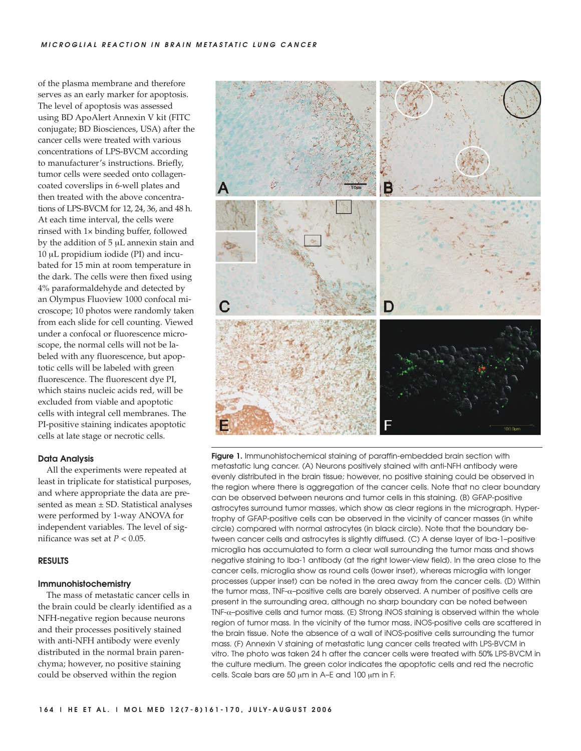of the plasma membrane and therefore serves as an early marker for apoptosis. The level of apoptosis was assessed using BD ApoAlert Annexin V kit (FITC conjugate; BD Biosciences, USA) after the cancer cells were treated with various concentrations of LPS-BVCM according to manufacturer's instructions. Briefly, tumor cells were seeded onto collagencoated coverslips in 6-well plates and then treated with the above concentrations of LPS-BVCM for 12, 24, 36, and 48 h. At each time interval, the cells were rinsed with 1× binding buffer, followed by the addition of 5 μL annexin stain and 10 μL propidium iodide (PI) and incubated for 15 min at room temperature in the dark. The cells were then fixed using 4% paraformaldehyde and detected by an Olympus Fluoview 1000 confocal microscope; 10 photos were randomly taken from each slide for cell counting. Viewed under a confocal or fluorescence microscope, the normal cells will not be labeled with any fluorescence, but apoptotic cells will be labeled with green fluorescence. The fluorescent dye PI, which stains nucleic acids red, will be excluded from viable and apoptotic cells with integral cell membranes. The PI-positive staining indicates apoptotic cells at late stage or necrotic cells.

#### **Data Analysis**

All the experiments were repeated at least in triplicate for statistical purposes, and where appropriate the data are presented as mean ± SD. Statistical analyses were performed by 1-way ANOVA for independent variables. The level of significance was set at  $P < 0.05$ .

#### **RESULTS**

## **Immunohistochemistry**

The mass of metastatic cancer cells in the brain could be clearly identified as a NFH-negative region because neurons and their processes positively stained with anti-NFH antibody were evenly distributed in the normal brain parenchyma; however, no positive staining could be observed within the region



**Figure 1.** Immunohistochemical staining of paraffin-embedded brain section with metastatic lung cancer. (A) Neurons positively stained with anti-NFH antibody were evenly distributed in the brain tissue; however, no positive staining could be observed in the region where there is aggregation of the cancer cells. Note that no clear boundary can be observed between neurons and tumor cells in this staining. (B) GFAP-positive astrocytes surround tumor masses, which show as clear regions in the micrograph. Hypertrophy of GFAP-positive cells can be observed in the vicinity of cancer masses (in white circle) compared with normal astrocytes (in black circle). Note that the boundary between cancer cells and astrocytes is slightly diffused. (C) A dense layer of Iba-1–positive microglia has accumulated to form a clear wall surrounding the tumor mass and shows negative staining to Iba-1 antibody (at the right lower-view field). In the area close to the cancer cells, microglia show as round cells (lower inset), whereas microglia with longer processes (upper inset) can be noted in the area away from the cancer cells. (D) Within the tumor mass, TNF-α–positive cells are barely observed. A number of positive cells are present in the surrounding area, although no sharp boundary can be noted between TNF-α–positive cells and tumor mass. (E) Strong iNOS staining is observed within the whole region of tumor mass. In the vicinity of the tumor mass, iNOS-positive cells are scattered in the brain tissue. Note the absence of a wall of iNOS-positive cells surrounding the tumor mass. (F) Annexin V staining of metastatic lung cancer cells treated with LPS-BVCM in vitro. The photo was taken 24 h after the cancer cells were treated with 50% LPS-BVCM in the culture medium. The green color indicates the apoptotic cells and red the necrotic cells. Scale bars are 50 μm in A–E and 100 μm in F.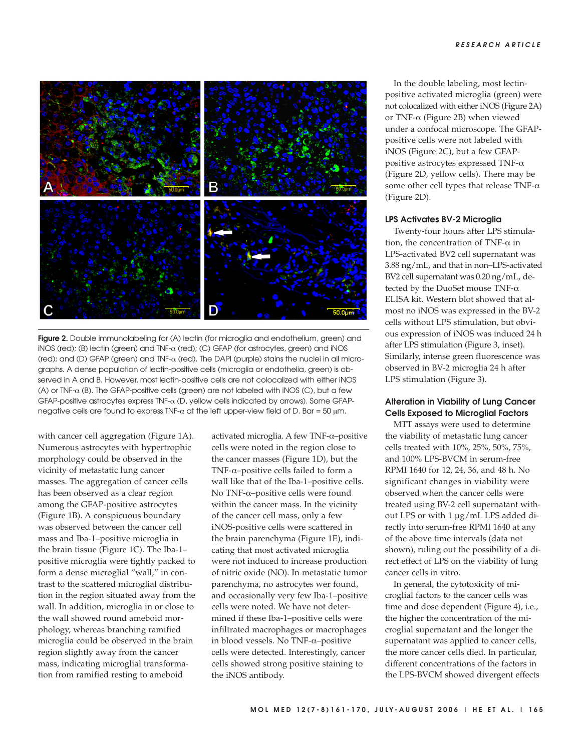

**Figure 2.** Double immunolabeling for (A) lectin (for microglia and endothelium, green) and iNOS (red); (B) lectin (green) and TNF-α (red); (C) GFAP (for astrocytes, green) and iNOS (red); and (D) GFAP (green) and TNF-α (red). The DAPI (purple) stains the nuclei in all micrographs. A dense population of lectin-positive cells (microglia or endothelia, green) is observed in A and B. However, most lectin-positive cells are not colocalized with either iNOS (A) or TNF-α (B). The GFAP-positive cells (green) are not labeled with iNOS (C), but a few GFAP-positive astrocytes express TNF-α (D, yellow cells indicated by arrows). Some GFAPnegative cells are found to express TNF- $\alpha$  at the left upper-view field of D. Bar = 50  $\mu$ m.

with cancer cell aggregation (Figure 1A). Numerous astrocytes with hypertrophic morphology could be observed in the vicinity of metastatic lung cancer masses. The aggregation of cancer cells has been observed as a clear region among the GFAP-positive astrocytes (Figure 1B). A conspicuous boundary was observed between the cancer cell mass and Iba-1–positive microglia in the brain tissue (Figure 1C). The Iba-1– positive microglia were tightly packed to form a dense microglial "wall," in contrast to the scattered microglial distribution in the region situated away from the wall. In addition, microglia in or close to the wall showed round ameboid morphology, whereas branching ramified microglia could be observed in the brain region slightly away from the cancer mass, indicating microglial transformation from ramified resting to ameboid

activated microglia. A few TNF-α–positive cells were noted in the region close to the cancer masses (Figure 1D), but the TNF-α–positive cells failed to form a wall like that of the Iba-1–positive cells. No TNF-α–positive cells were found within the cancer mass. In the vicinity of the cancer cell mass, only a few iNOS-positive cells were scattered in the brain parenchyma (Figure 1E), indicating that most activated microglia were not induced to increase production of nitric oxide (NO). In metastatic tumor parenchyma, no astrocytes wer found, and occasionally very few Iba-1–positive cells were noted. We have not determined if these Iba-1–positive cells were infiltrated macrophages or macrophages in blood vessels. No TNF-α–positive cells were detected. Interestingly, cancer cells showed strong positive staining to the iNOS antibody.

In the double labeling, most lectinpositive activated microglia (green) were not colocalized with either iNOS (Figure 2A) or TNF-α (Figure 2B) when viewed under a confocal microscope. The GFAPpositive cells were not labeled with iNOS (Figure 2C), but a few GFAPpositive astrocytes expressed TNF-α (Figure 2D, yellow cells). There may be some other cell types that release TNF-α (Figure 2D).

#### **LPS Activates BV-2 Microglia**

Twenty-four hours after LPS stimulation, the concentration of TNF- $\alpha$  in LPS-activated BV2 cell supernatant was 3.88 ng/mL, and that in non–LPS-activated BV2 cell supernatant was 0.20 ng/mL, detected by the DuoSet mouse TNF-α ELISA kit. Western blot showed that almost no iNOS was expressed in the BV-2 cells without LPS stimulation, but obvious expression of iNOS was induced 24 h after LPS stimulation (Figure 3, inset). Similarly, intense green fluorescence was observed in BV-2 microglia 24 h after LPS stimulation (Figure 3).

# **Alteration in Viability of Lung Cancer Cells Exposed to Microglial Factors**

MTT assays were used to determine the viability of metastatic lung cancer cells treated with 10%, 25%, 50%, 75%, and 100% LPS-BVCM in serum-free RPMI 1640 for 12, 24, 36, and 48 h. No significant changes in viability were observed when the cancer cells were treated using BV-2 cell supernatant without LPS or with 1 µg/mL LPS added directly into serum-free RPMI 1640 at any of the above time intervals (data not shown), ruling out the possibility of a direct effect of LPS on the viability of lung cancer cells in vitro.

In general, the cytotoxicity of microglial factors to the cancer cells was time and dose dependent (Figure 4), i.e., the higher the concentration of the microglial supernatant and the longer the supernatant was applied to cancer cells, the more cancer cells died. In particular, different concentrations of the factors in the LPS-BVCM showed divergent effects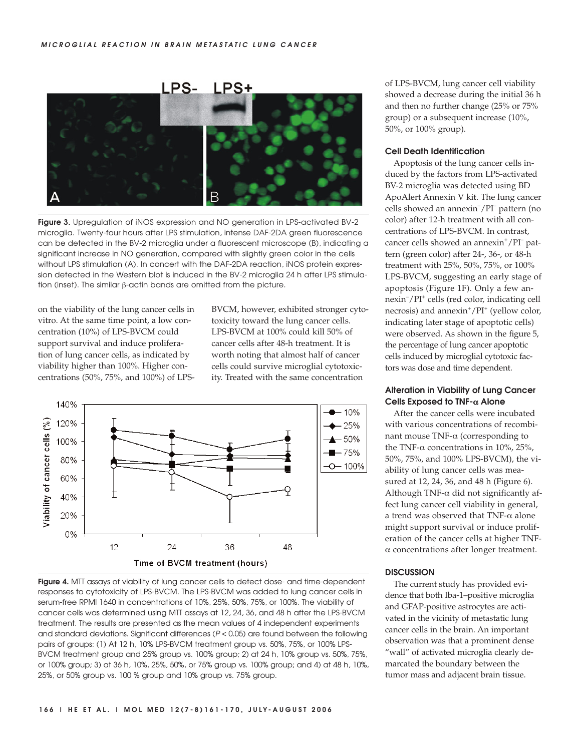

**Figure 3.** Upregulation of iNOS expression and NO generation in LPS-activated BV-2 microglia. Twenty-four hours after LPS stimulation, intense DAF-2DA green fluorescence can be detected in the BV-2 microglia under a fluorescent microscope (B), indicating a significant increase in NO generation, compared with slightly green color in the cells without LPS stimulation (A). In concert with the DAF-2DA reaction, iNOS protein expression detected in the Western blot is induced in the BV-2 microglia 24 h after LPS stimulation (inset). The similar β-actin bands are omitted from the picture.

on the viability of the lung cancer cells in vitro. At the same time point, a low concentration (10%) of LPS-BVCM could support survival and induce proliferation of lung cancer cells, as indicated by viability higher than 100%. Higher concentrations (50%, 75%, and 100%) of LPS- BVCM, however, exhibited stronger cytotoxicity toward the lung cancer cells. LPS-BVCM at 100% could kill 50% of cancer cells after 48-h treatment. It is worth noting that almost half of cancer cells could survive microglial cytotoxicity. Treated with the same concentration



**Figure 4.** MTT assays of viability of lung cancer cells to detect dose- and time-dependent responses to cytotoxicity of LPS-BVCM. The LPS-BVCM was added to lung cancer cells in serum-free RPMI 1640 in concentrations of 10%, 25%, 50%, 75%, or 100%. The viability of cancer cells was determined using MTT assays at 12, 24, 36, and 48 h after the LPS-BVCM treatment. The results are presented as the mean values of 4 independent experiments and standard deviations. Significant differences (P < 0.05) are found between the following pairs of groups: (1) At 12 h, 10% LPS-BVCM treatment group vs. 50%, 75%, or 100% LPS-BVCM treatment group and 25% group vs. 100% group; 2) at 24 h, 10% group vs. 50%, 75%, or 100% group; 3) at 36 h, 10%, 25%, 50%, or 75% group vs. 100% group; and 4) at 48 h, 10%, 25%, or 50% group vs. 100 % group and 10% group vs. 75% group.

of LPS-BVCM, lung cancer cell viability showed a decrease during the initial 36 h and then no further change (25% or 75% group) or a subsequent increase (10%, 50%, or 100% group).

# **Cell Death Identification**

Apoptosis of the lung cancer cells induced by the factors from LPS-activated BV-2 microglia was detected using BD ApoAlert Annexin V kit. The lung cancer cells showed an annexin– /PI– pattern (no color) after 12-h treatment with all concentrations of LPS-BVCM. In contrast, cancer cells showed an annexin<sup>+</sup>/PI<sup>-</sup> pattern (green color) after 24-, 36-, or 48-h treatment with 25%, 50%, 75%, or 100% LPS-BVCM, suggesting an early stage of apoptosis (Figure 1F). Only a few annexin– /PI<sup>+</sup> cells (red color, indicating cell necrosis) and annexin<sup>+</sup>/PI<sup>+</sup> (yellow color, indicating later stage of apoptotic cells) were observed. As shown in the figure 5, the percentage of lung cancer apoptotic cells induced by microglial cytotoxic factors was dose and time dependent.

# **Alteration in Viability of Lung Cancer Cells Exposed to TNF-**α **Alone**

After the cancer cells were incubated with various concentrations of recombinant mouse TNF-α (corresponding to the TNF- $\alpha$  concentrations in 10%, 25%, 50%, 75%, and 100% LPS-BVCM), the viability of lung cancer cells was measured at 12, 24, 36, and 48 h (Figure 6). Although TNF- $\alpha$  did not significantly affect lung cancer cell viability in general, a trend was observed that TNF-α alone might support survival or induce proliferation of the cancer cells at higher TNFα concentrations after longer treatment.

## **DISCUSSION**

The current study has provided evidence that both Iba-1–positive microglia and GFAP-positive astrocytes are activated in the vicinity of metastatic lung cancer cells in the brain. An important observation was that a prominent dense "wall" of activated microglia clearly demarcated the boundary between the tumor mass and adjacent brain tissue.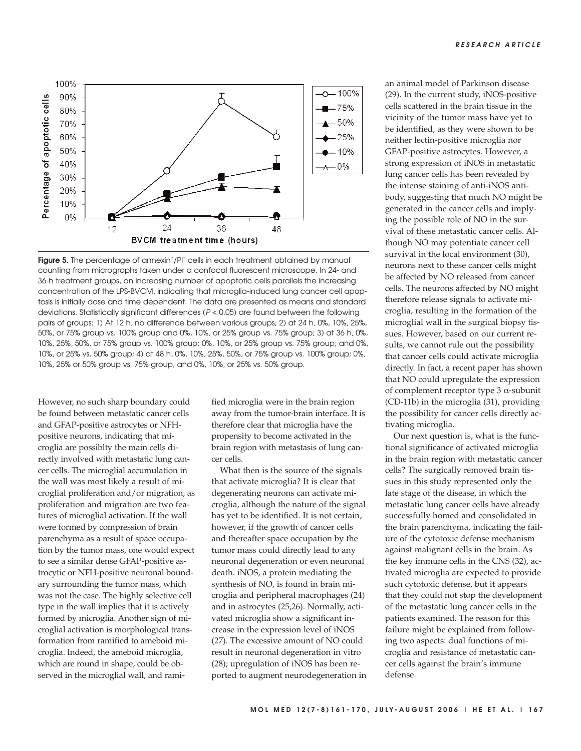

Figure 5. The percentage of annexin<sup>+</sup>/PI<sup>-</sup> cells in each treatment obtained by manual counting from micrographs taken under a confocal fluorescent microscope. In 24- and 36-h treatment groups, an increasing number of apoptotic cells parallels the increasing concentration of the LPS-BVCM, indicating that microglia-induced lung cancer cell apoptosis is initially dose and time dependent. The data are presented as means and standard deviations. Statistically significant differences (P < 0.05) are found between the following pairs of groups: 1) At 12 h, no difference between various groups; 2) at 24 h, 0%, 10%, 25%, 50%, or 75% group vs. 100% group and 0%, 10%, or 25% group vs. 75% group; 3) at 36 h, 0%, 10%, 25%, 50%, or 75% group vs. 100% group; 0%, 10%, or 25% group vs. 75% group; and 0%, 10%, or 25% vs. 50% group; 4) at 48 h, 0%, 10%, 25%, 50%, or 75% group vs. 100% group; 0%, 10%, 25% or 50% group vs. 75% group; and 0%, 10%, or 25% vs. 50% group.

However, no such sharp boundary could be found between metastatic cancer cells and GFAP-positive astrocytes or NFHpositive neurons, indicating that microglia are possiblty the main cells directly involved with metastatic lung cancer cells. The microglial accumulation in the wall was most likely a result of microglial proliferation and/or migration, as proliferation and migration are two features of microglial activation. If the wall were formed by compression of brain parenchyma as a result of space occupation by the tumor mass, one would expect to see a similar dense GFAP-positive astrocytic or NFH-positive neuronal boundary surrounding the tumor mass, which was not the case. The highly selective cell type in the wall implies that it is actively formed by microglia. Another sign of microglial activation is morphological transformation from ramified to ameboid microglia. Indeed, the ameboid microglia, which are round in shape, could be observed in the microglial wall, and ramified microglia were in the brain region away from the tumor-brain interface. It is therefore clear that microglia have the propensity to become activated in the brain region with metastasis of lung cancer cells.

What then is the source of the signals that activate microglia? It is clear that degenerating neurons can activate microglia, although the nature of the signal has yet to be identified. It is not certain, however, if the growth of cancer cells and thereafter space occupation by the tumor mass could directly lead to any neuronal degeneration or even neuronal death. iNOS, a protein mediating the synthesis of NO, is found in brain microglia and peripheral macrophages (24) and in astrocytes (25,26). Normally, activated microglia show a significant increase in the expression level of iNOS (27). The excessive amount of NO could result in neuronal degeneration in vitro (28); upregulation of iNOS has been reported to augment neurodegeneration in an animal model of Parkinson disease (29). In the current study, iNOS-positive cells scattered in the brain tissue in the vicinity of the tumor mass have yet to be identified, as they were shown to be neither lectin-positive microglia nor GFAP-positive astrocytes. However, a strong expression of iNOS in metastatic lung cancer cells has been revealed by the intense staining of anti-iNOS antibody, suggesting that much NO might be generated in the cancer cells and implying the possible role of NO in the survival of these metastatic cancer cells. Although NO may potentiate cancer cell survival in the local environment (30), neurons next to these cancer cells might be affected by NO released from cancer cells. The neurons affected by NO might therefore release signals to activate microglia, resulting in the formation of the microglial wall in the surgical biopsy tissues. However, based on our current results, we cannot rule out the possibility that cancer cells could activate microglia directly. In fact, a recent paper has shown that NO could upregulate the expression of complement receptor type 3 α-subunit (CD-11b) in the microglia (31), providing the possibility for cancer cells directly activating microglia.

Our next question is, what is the functional significance of activated microglia in the brain region with metastatic cancer cells? The surgically removed brain tissues in this study represented only the late stage of the disease, in which the metastatic lung cancer cells have already successfully homed and consolidated in the brain parenchyma, indicating the failure of the cytotoxic defense mechanism against malignant cells in the brain. As the key immune cells in the CNS (32), activated microglia are expected to provide such cytotoxic defense, but it appears that they could not stop the development of the metastatic lung cancer cells in the patients examined. The reason for this failure might be explained from following two aspects: dual functions of microglia and resistance of metastatic cancer cells against the brain's immune defense.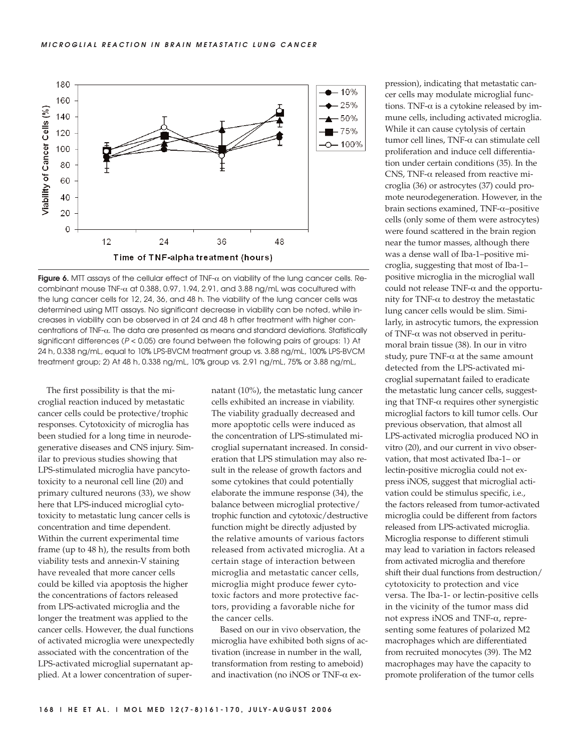**MICROGLIAL REACTION IN BRAIN METASTATIC LUNG CANCER**



**Figure 6.** MTT assays of the cellular effect of TNF-α on viability of the lung cancer cells. Recombinant mouse TNF- $\alpha$  at 0.388, 0.97, 1.94, 2.91, and 3.88 ng/mL was cocultured with the lung cancer cells for 12, 24, 36, and 48 h. The viability of the lung cancer cells was determined using MTT assays. No significant decrease in viability can be noted, while increases in viability can be observed in at 24 and 48 h after treatment with higher concentrations of TNF-α. The data are presented as means and standard deviations. Statistically significant differences ( $P < 0.05$ ) are found between the following pairs of groups: 1) At 24 h, 0.338 ng/mL, equal to 10% LPS-BVCM treatment group vs. 3.88 ng/mL, 100% LPS-BVCM treatment group; 2) At 48 h, 0.338 ng/mL, 10% group vs. 2.91 ng/mL, 75% or 3.88 ng/mL,

The first possibility is that the microglial reaction induced by metastatic cancer cells could be protective/trophic responses. Cytotoxicity of microglia has been studied for a long time in neurodegenerative diseases and CNS injury. Similar to previous studies showing that LPS-stimulated microglia have pancytotoxicity to a neuronal cell line (20) and primary cultured neurons (33), we show here that LPS-induced microglial cytotoxicity to metastatic lung cancer cells is concentration and time dependent. Within the current experimental time frame (up to 48 h), the results from both viability tests and annexin-V staining have revealed that more cancer cells could be killed via apoptosis the higher the concentrations of factors released from LPS-activated microglia and the longer the treatment was applied to the cancer cells. However, the dual functions of activated microglia were unexpectedly associated with the concentration of the LPS-activated microglial supernatant applied. At a lower concentration of supernatant (10%), the metastatic lung cancer cells exhibited an increase in viability. The viability gradually decreased and more apoptotic cells were induced as the concentration of LPS-stimulated microglial supernatant increased. In consideration that LPS stimulation may also result in the release of growth factors and some cytokines that could potentially elaborate the immune response (34), the balance between microglial protective/ trophic function and cytotoxic/destructive function might be directly adjusted by the relative amounts of various factors released from activated microglia. At a certain stage of interaction between microglia and metastatic cancer cells, microglia might produce fewer cytotoxic factors and more protective factors, providing a favorable niche for the cancer cells.

Based on our in vivo observation, the microglia have exhibited both signs of activation (increase in number in the wall, transformation from resting to ameboid) and inactivation (no iNOS or TNF-α expression), indicating that metastatic cancer cells may modulate microglial functions. TNF- $\alpha$  is a cytokine released by immune cells, including activated microglia. While it can cause cytolysis of certain tumor cell lines, TNF-α can stimulate cell proliferation and induce cell differentiation under certain conditions (35). In the CNS, TNF-α released from reactive microglia (36) or astrocytes (37) could promote neurodegeneration. However, in the brain sections examined, TNF-α–positive cells (only some of them were astrocytes) were found scattered in the brain region near the tumor masses, although there was a dense wall of Iba-1–positive microglia, suggesting that most of Iba-1– positive microglia in the microglial wall could not release TNF-α and the opportunity for TNF-α to destroy the metastatic lung cancer cells would be slim. Similarly, in astrocytic tumors, the expression of TNF-α was not observed in peritumoral brain tissue (38). In our in vitro study, pure TNF- $\alpha$  at the same amount detected from the LPS-activated microglial supernatant failed to eradicate the metastatic lung cancer cells, suggesting that TNF- $\alpha$  requires other synergistic microglial factors to kill tumor cells. Our previous observation, that almost all LPS-activated microglia produced NO in vitro (20), and our current in vivo observation, that most activated Iba-1– or lectin-positive microglia could not express iNOS, suggest that microglial activation could be stimulus specific, i.e., the factors released from tumor-activated microglia could be different from factors released from LPS-activated microglia. Microglia response to different stimuli may lead to variation in factors released from activated microglia and therefore shift their dual functions from destruction/ cytotoxicity to protection and vice versa. The Iba-1- or lectin-positive cells in the vicinity of the tumor mass did not express iNOS and TNF-α, representing some features of polarized M2 macrophages which are differentiated from recruited monocytes (39). The M2 macrophages may have the capacity to promote proliferation of the tumor cells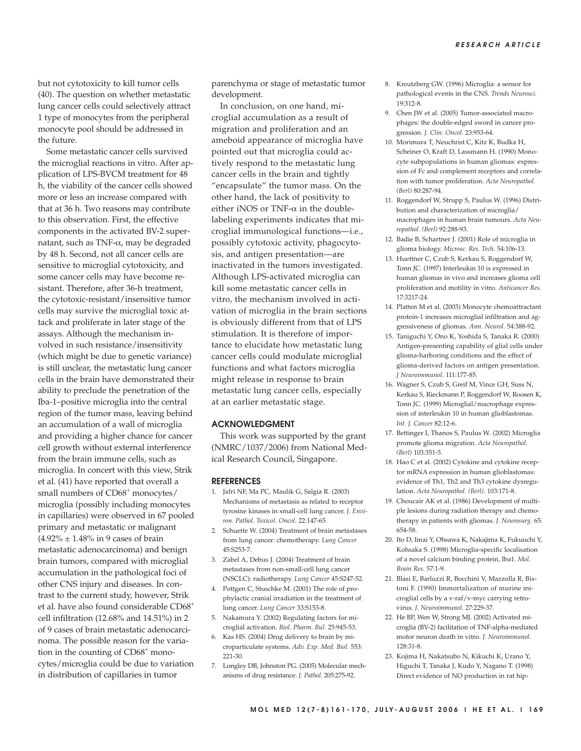but not cytotoxicity to kill tumor cells (40). The question on whether metastatic lung cancer cells could selectively attract 1 type of monocytes from the peripheral monocyte pool should be addressed in the future.

Some metastatic cancer cells survived the microglial reactions in vitro. After application of LPS-BVCM treatment for 48 h, the viability of the cancer cells showed more or less an increase compared with that at 36 h. Two reasons may contribute to this observation. First, the effective components in the activated BV-2 supernatant, such as TNF-α, may be degraded by 48 h. Second, not all cancer cells are sensitive to microglial cytotoxicity, and some cancer cells may have become resistant. Therefore, after 36-h treatment, the cytotoxic-resistant/insensitive tumor cells may survive the microglial toxic attack and proliferate in later stage of the assays. Although the mechanism involved in such resistance/insensitivity (which might be due to genetic variance) is still unclear, the metastatic lung cancer cells in the brain have demonstrated their ability to preclude the penetration of the Iba-1–positive microglia into the central region of the tumor mass, leaving behind an accumulation of a wall of microglia and providing a higher chance for cancer cell growth without external interference from the brain immune cells, such as microglia. In concert with this view, Strik et al. (41) have reported that overall a small numbers of CD68<sup>+</sup> monocytes/ microglia (possibly including monocytes in capillaries) were observed in 67 pooled primary and metastatic or malignant  $(4.92\% \pm 1.48\% \text{ in } 9 \text{ cases of brain})$ metastatic adenocarcinoma) and benign brain tumors, compared with microglial accumulation in the pathological foci of other CNS injury and diseases. In contrast to the current study, however, Strik et al. have also found considerable CD68+ cell infiltration (12.68% and 14.51%) in 2 of 9 cases of brain metastatic adenocarcinoma. The possible reason for the variation in the counting of CD68<sup>+</sup> monocytes/microglia could be due to variation in distribution of capillaries in tumor

parenchyma or stage of metastatic tumor development.

In conclusion, on one hand, microglial accumulation as a result of migration and proliferation and an ameboid appearance of microglia have pointed out that microglia could actively respond to the metastatic lung cancer cells in the brain and tightly "encapsulate" the tumor mass. On the other hand, the lack of positivity to either iNOS or TNF- $\alpha$  in the doublelabeling experiments indicates that microglial immunological functions—i.e., possibly cytotoxic activity, phagocytosis, and antigen presentation—are inactivated in the tumors investigated. Although LPS-activated microglia can kill some metastatic cancer cells in vitro, the mechanism involved in activation of microglia in the brain sections is obviously different from that of LPS stimulation. It is therefore of importance to elucidate how metastatic lung cancer cells could modulate microglial functions and what factors microglia might release in response to brain metastatic lung cancer cells, especially at an earlier metastatic stage.

#### **ACKNOWLEDGMENT**

This work was supported by the grant (NMRC/1037/2006) from National Medical Research Council, Singapore.

## **REFERENCES**

- 1. Jafri NF, Ma PC, Maulik G, Salgia R. (2003) Mechanisms of metastasis as related to receptor tyrosine kinases in small-cell lung cancer. *J. Environ. Pathol. Toxicol. Oncol.* 22:147-65.
- 2. Schuette W. (2004) Treatment of brain metastases from lung cancer: chemotherapy. *Lung Cancer* 45:S253-7.
- 3. Zabel A, Debus J. (2004) Treatment of brain metastases from non-small-cell lung cancer (NSCLC): radiotherapy. *Lung Cancer* 45:S247-52.
- 4. Pottgen C, Stuschke M. (2001) The role of prophylactic cranial irradiation in the treatment of lung cancer. *Lung Cancer* 33:S153-8.
- 5. Nakamura Y. (2002) Regulating factors for microglial activation. *Biol. Pharm. Bul.* 25:945-53.
- 6. Kas HS. (2004) Drug delivery to brain by microparticulate systems. *Adv. Exp. Med. Biol.* 553: 221-30.
- 7. Longley DB, Johnston PG. (2005) Molecular mechanisms of drug resistance. *J. Pathol.* 205:275-92.
- 8. Kreutzberg GW. (1996) Microglia: a sensor for pathological events in the CNS. *Trends Neurosci.* 19:312-8.
- 9. Chen JW et al. (2005) Tumor-associated macrophages: the double-edged sword in cancer progression. *J. Clin. Oncol.* 23:953-64.
- 10. Morimura T, Neuchrist C, Kitz K, Budka H, Scheiner O, Kraft D, Lassmann H. (1990) Monocyte subpopulations in human gliomas: expression of Fc and complement receptors and correlation with tumor proliferation. *Acta Neuropathol. (Berl)* 80:287-94.
- 11. Roggendorf W, Strupp S, Paulus W. (1996) Distribution and characterization of microglia/ macrophages in human brain tumours. *Acta Neuropathol. (Berl)* 92:288-93.
- 12. Badie B, Schartner J. (2001) Role of microglia in glioma biology. *Microsc. Res. Tech.* 54:106-13.
- 13. Huettner C, Czub S, Kerkau S, Roggendorf W, Tonn JC. (1997) Interleukin 10 is expressed in human gliomas in vivo and increases glioma cell proliferation and motility in vitro. *Anticancer Res.* 17:3217-24.
- 14. Platten M et al. (2003) Monocyte chemoattractant protein-1 increases microglial infiltration and aggressiveness of gliomas. *Ann. Neurol.* 54:388-92.
- 15. Taniguchi Y, Ono K, Yoshida S, Tanaka R. (2000) Antigen-presenting capability of glial cells under glioma-harboring conditions and the effect of glioma-derived factors on antigen presentation. *J Neuroimmunol.* 111:177-85.
- 16. Wagner S, Czub S, Greif M, Vince GH, Suss N, Kerkau S, Rieckmann P, Roggendorf W, Roosen K, Tonn JC. (1999) Microglial/macrophage expression of interleukin 10 in human glioblastomas. *Int. J. Cancer* 82:12-6.
- 17. Bettinger I, Thanos S, Paulus W. (2002) Microglia promote glioma migration. *Acta Neuropathol. (Berl)* 103:351-5.
- 18. Hao C et al. (2002) Cytokine and cytokine receptor mRNA expression in human glioblastomas: evidence of Th1, Th2 and Th3 cytokine dysregulation. *Acta Neuropathol. (Berl).* 103:171-8.
- 19. Choucair AK et al. (1986) Development of multiple lesions during radiation therapy and chemotherapy in patients with gliomas. *J. Neurosurg.* 65: 654-58.
- 20. Ito D, Imai Y, Ohsawa K, Nakajima K, Fukuuchi Y, Kohsaka S. (1998) Microglia-specific localisation of a novel calcium binding protein, Iba1. *Mol. Brain Res.* 57:1-9.
- 21. Blasi E, Barluzzi R, Bocchini V, Mazzolla R, Bistoni F. (1990) Immortalization of murine microglial cells by a v-raf/v-myc carrying retrovirus. *J. Neuroimmunol.* 27:229-37.
- 22. He BP, Wen W, Strong MJ. (2002) Activated microglia (BV-2) facilitation of TNF-alpha-mediated motor neuron death in vitro. *J. Neuroimmunol*. 128:31-8.
- 23. Kojima H, Nakatsubo N, Kikuchi K, Urano Y, Higuchi T, Tanaka J, Kudo Y, Nagano T. (1998) Direct evidence of NO production in rat hip-